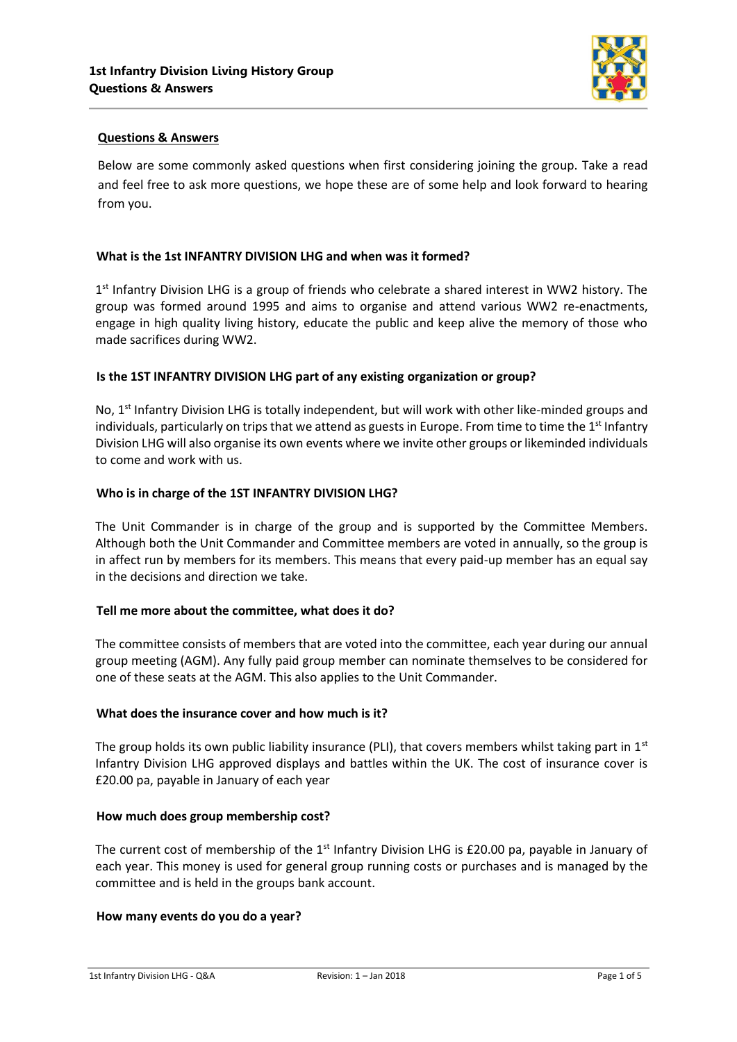

# **Questions & Answers**

Below are some commonly asked questions when first considering joining the group. Take a read and feel free to ask more questions, we hope these are of some help and look forward to hearing from you.

### **What is the 1st INFANTRY DIVISION LHG and when was it formed?**

1<sup>st</sup> Infantry Division LHG is a group of friends who celebrate a shared interest in WW2 history. The group was formed around 1995 and aims to organise and attend various WW2 re-enactments, engage in high quality living history, educate the public and keep alive the memory of those who made sacrifices during WW2.

### **Is the 1ST INFANTRY DIVISION LHG part of any existing organization or group?**

No,  $1<sup>st</sup>$  Infantry Division LHG is totally independent, but will work with other like-minded groups and individuals, particularly on trips that we attend as guests in Europe. From time to time the 1<sup>st</sup> Infantry Division LHG will also organise its own events where we invite other groups or likeminded individuals to come and work with us.

### **Who is in charge of the 1ST INFANTRY DIVISION LHG?**

The Unit Commander is in charge of the group and is supported by the Committee Members. Although both the Unit Commander and Committee members are voted in annually, so the group is in affect run by members for its members. This means that every paid-up member has an equal say in the decisions and direction we take.

#### **Tell me more about the committee, what does it do?**

The committee consists of members that are voted into the committee, each year during our annual group meeting (AGM). Any fully paid group member can nominate themselves to be considered for one of these seats at the AGM. This also applies to the Unit Commander.

### **What does the insurance cover and how much is it?**

The group holds its own public liability insurance (PLI), that covers members whilst taking part in  $1<sup>st</sup>$ Infantry Division LHG approved displays and battles within the UK. The cost of insurance cover is £20.00 pa, payable in January of each year

#### **How much does group membership cost?**

The current cost of membership of the  $1<sup>st</sup>$  Infantry Division LHG is £20.00 pa, payable in January of each year. This money is used for general group running costs or purchases and is managed by the committee and is held in the groups bank account.

#### **How many events do you do a year?**

1st Infantry Division LHG - Q&A Revision: 1 – Jan 2018 Page 1 of 5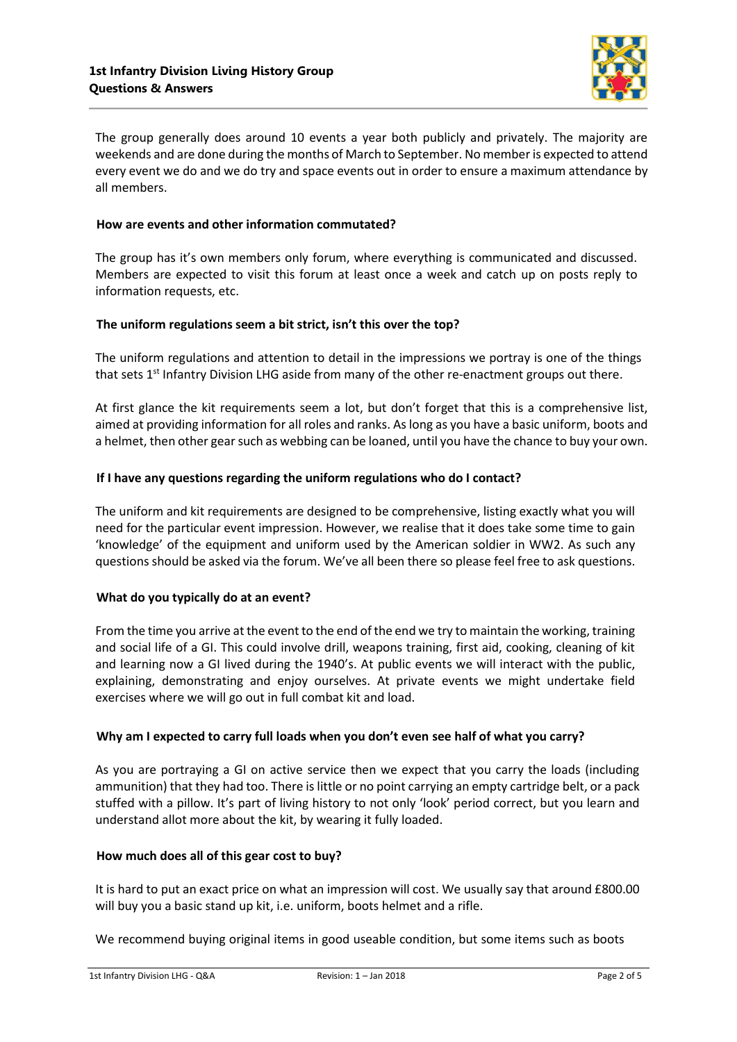

The group generally does around 10 events a year both publicly and privately. The majority are weekends and are done during the months of March to September. No member is expected to attend every event we do and we do try and space events out in order to ensure a maximum attendance by all members.

### **How are events and other information commutated?**

The group has it's own members only forum, where everything is communicated and discussed. Members are expected to visit this forum at least once a week and catch up on posts reply to information requests, etc.

### **The uniform regulations seem a bit strict, isn't this over the top?**

The uniform regulations and attention to detail in the impressions we portray is one of the things that sets  $1<sup>st</sup>$  Infantry Division LHG aside from many of the other re-enactment groups out there.

At first glance the kit requirements seem a lot, but don't forget that this is a comprehensive list, aimed at providing information for all roles and ranks. As long as you have a basic uniform, boots and a helmet, then other gear such as webbing can be loaned, until you have the chance to buy your own.

### **If I have any questions regarding the uniform regulations who do I contact?**

The uniform and kit requirements are designed to be comprehensive, listing exactly what you will need for the particular event impression. However, we realise that it does take some time to gain 'knowledge' of the equipment and uniform used by the American soldier in WW2. As such any questions should be asked via the forum. We've all been there so please feel free to ask questions.

## **What do you typically do at an event?**

From the time you arrive at the event to the end of the end we try to maintain the working, training and social life of a GI. This could involve drill, weapons training, first aid, cooking, cleaning of kit and learning now a GI lived during the 1940's. At public events we will interact with the public, explaining, demonstrating and enjoy ourselves. At private events we might undertake field exercises where we will go out in full combat kit and load.

## **Why am I expected to carry full loads when you don't even see half of what you carry?**

As you are portraying a GI on active service then we expect that you carry the loads (including ammunition) that they had too. There is little or no point carrying an empty cartridge belt, or a pack stuffed with a pillow. It's part of living history to not only 'look' period correct, but you learn and understand allot more about the kit, by wearing it fully loaded.

## **How much does all of this gear cost to buy?**

It is hard to put an exact price on what an impression will cost. We usually say that around £800.00 will buy you a basic stand up kit, i.e. uniform, boots helmet and a rifle.

We recommend buying original items in good useable condition, but some items such as boots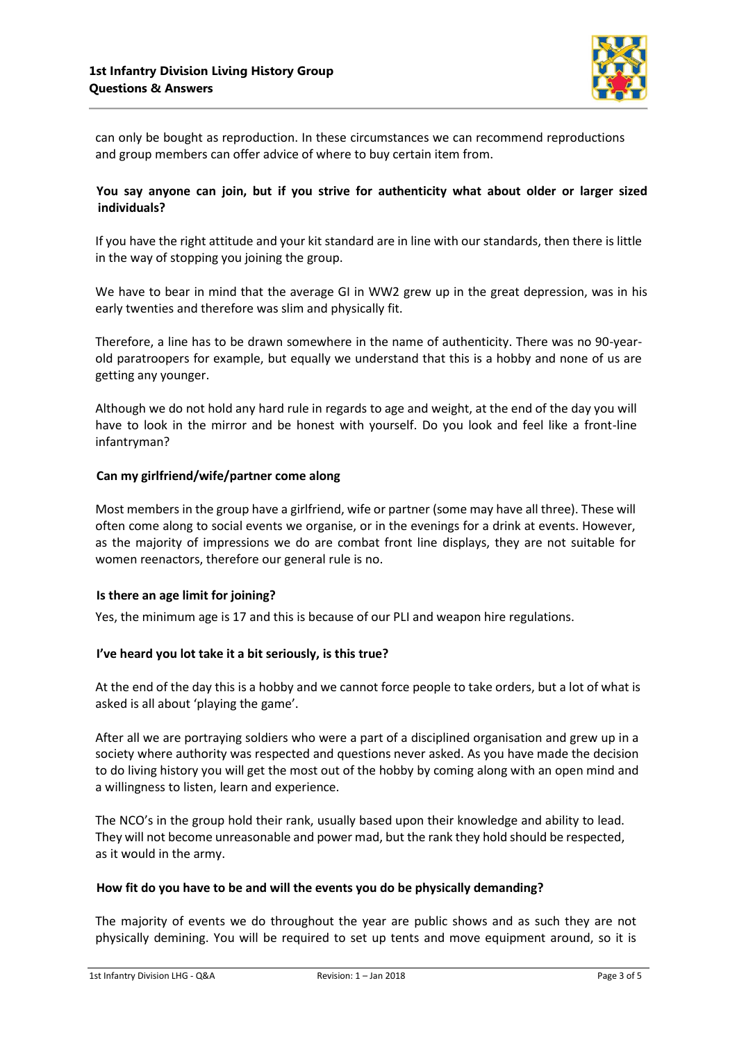

can only be bought as reproduction. In these circumstances we can recommend reproductions and group members can offer advice of where to buy certain item from.

# **You say anyone can join, but if you strive for authenticity what about older or larger sized individuals?**

If you have the right attitude and your kit standard are in line with our standards, then there is little in the way of stopping you joining the group.

We have to bear in mind that the average GI in WW2 grew up in the great depression, was in his early twenties and therefore was slim and physically fit.

Therefore, a line has to be drawn somewhere in the name of authenticity. There was no 90-yearold paratroopers for example, but equally we understand that this is a hobby and none of us are getting any younger.

Although we do not hold any hard rule in regards to age and weight, at the end of the day you will have to look in the mirror and be honest with yourself. Do you look and feel like a front-line infantryman?

## **Can my girlfriend/wife/partner come along**

Most members in the group have a girlfriend, wife or partner (some may have all three). These will often come along to social events we organise, or in the evenings for a drink at events. However, as the majority of impressions we do are combat front line displays, they are not suitable for women reenactors, therefore our general rule is no.

## **Is there an age limit for joining?**

Yes, the minimum age is 17 and this is because of our PLI and weapon hire regulations.

## **I've heard you lot take it a bit seriously, is this true?**

At the end of the day this is a hobby and we cannot force people to take orders, but a lot of what is asked is all about 'playing the game'.

After all we are portraying soldiers who were a part of a disciplined organisation and grew up in a society where authority was respected and questions never asked. As you have made the decision to do living history you will get the most out of the hobby by coming along with an open mind and a willingness to listen, learn and experience.

The NCO's in the group hold their rank, usually based upon their knowledge and ability to lead. They will not become unreasonable and power mad, but the rank they hold should be respected, as it would in the army.

#### **How fit do you have to be and will the events you do be physically demanding?**

The majority of events we do throughout the year are public shows and as such they are not physically demining. You will be required to set up tents and move equipment around, so it is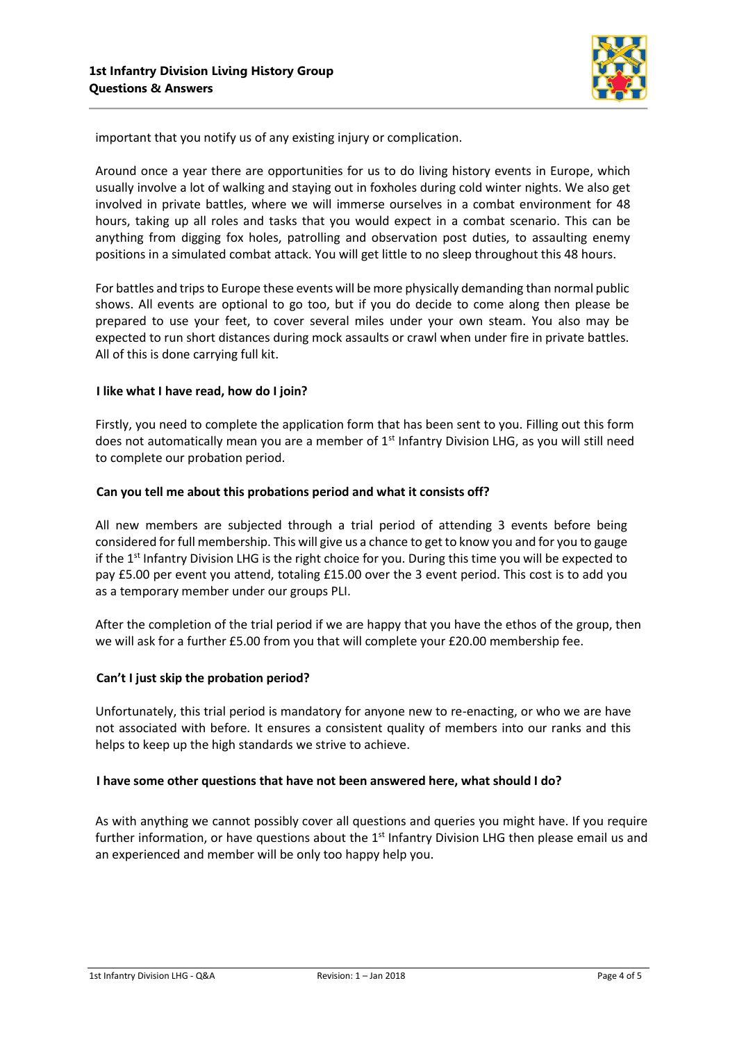

important that you notify us of any existing injury or complication.

Around once a year there are opportunities for us to do living history events in Europe, which usually involve a lot of walking and staying out in foxholes during cold winter nights. We also get involved in private battles, where we will immerse ourselves in a combat environment for 48 hours, taking up all roles and tasks that you would expect in a combat scenario. This can be anything from digging fox holes, patrolling and observation post duties, to assaulting enemy positions in a simulated combat attack. You will get little to no sleep throughout this 48 hours.

For battles and trips to Europe these events will be more physically demanding than normal public shows. All events are optional to go too, but if you do decide to come along then please be prepared to use your feet, to cover several miles under your own steam. You also may be expected to run short distances during mock assaults or crawl when under fire in private battles. All of this is done carrying full kit.

### **I like what I have read, how do I join?**

Firstly, you need to complete the application form that has been sent to you. Filling out this form does not automatically mean you are a member of  $1<sup>st</sup>$  Infantry Division LHG, as you will still need to complete our probation period.

### **Can you tell me about this probations period and what it consists off?**

All new members are subjected through a trial period of attending 3 events before being considered for full membership. This will give us a chance to get to know you and for you to gauge if the 1<sup>st</sup> Infantry Division LHG is the right choice for you. During this time you will be expected to pay £5.00 per event you attend, totaling £15.00 over the 3 event period. This cost is to add you as a temporary member under our groups PLI.

After the completion of the trial period if we are happy that you have the ethos of the group, then we will ask for a further £5.00 from you that will complete your £20.00 membership fee.

## **Can't I just skip the probation period?**

Unfortunately, this trial period is mandatory for anyone new to re-enacting, or who we are have not associated with before. It ensures a consistent quality of members into our ranks and this helps to keep up the high standards we strive to achieve.

## **I have some other questions that have not been answered here, what should I do?**

As with anything we cannot possibly cover all questions and queries you might have. If you require further information, or have questions about the  $1<sup>st</sup>$  Infantry Division LHG then please email [us](mailto:GI44-45@hotmail.co.uk) and an experienced and member will be only too happy help you.